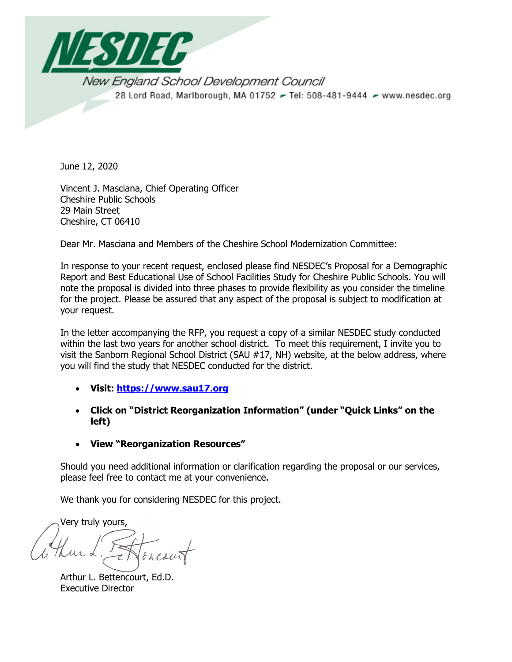

June 12, 2020

Vincent J. Masciana, Chief Operating Officer Cheshire Public Schools 29 Main Street Cheshire, CT 06410

Dear Mr. Masciana and Members of the Cheshire School Modernization Committee:

In response to your recent request, enclosed please find NESDEC's Proposal for a Demographic Report and Best Educational Use of School Facilities Study for Cheshire Public Schools. You will note the proposal is divided into three phases to provide flexibility as you consider the timeline for the project. Please be assured that any aspect of the proposal is subject to modification at your request.

In the letter accompanying the RFP, you request a copy of a similar NESDEC study conducted within the last two years for another school district. To meet this requirement, I invite you to visit the Sanborn Regional School District (SAU #17, NH) website, at the below address, where you will find the study that NESDEC conducted for the district.

- **Visit: https://www.sau17.org**
- **Click on "District Reorganization Information" (under "Quick Links" on the left)**
- **View "Reorganization Resources"**

Should you need additional information or clarification regarding the proposal or our services, please feel free to contact me at your convenience.

We thank you for considering NESDEC for this project.

Very truly yours,

Arthur L. Bettencourt, Ed.D. Executive Director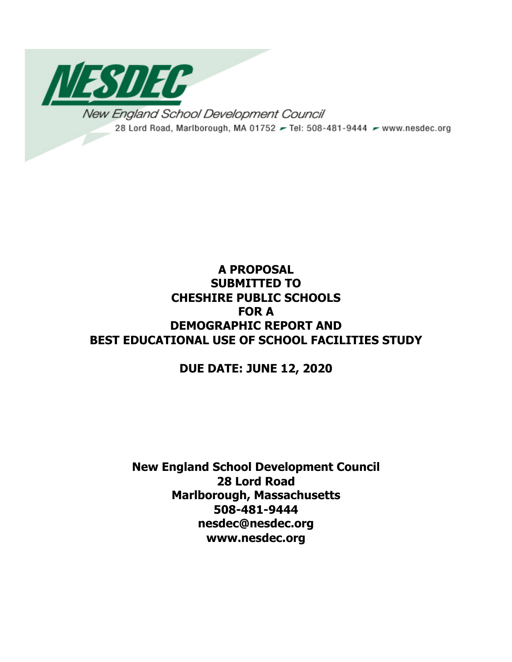

# **A PROPOSAL SUBMITTED TO CHESHIRE PUBLIC SCHOOLS FOR A DEMOGRAPHIC REPORT AND BEST EDUCATIONAL USE OF SCHOOL FACILITIES STUDY**

# **DUE DATE: JUNE 12, 2020**

**New England School Development Council 28 Lord Road Marlborough, Massachusetts 508-481-9444 nesdec@nesdec.org www.nesdec.org**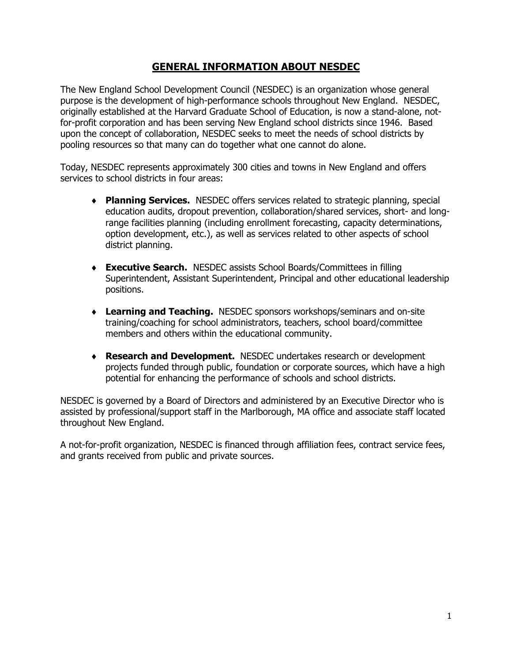# **GENERAL INFORMATION ABOUT NESDEC**

The New England School Development Council (NESDEC) is an organization whose general purpose is the development of high-performance schools throughout New England. NESDEC, originally established at the Harvard Graduate School of Education, is now a stand-alone, notfor-profit corporation and has been serving New England school districts since 1946. Based upon the concept of collaboration, NESDEC seeks to meet the needs of school districts by pooling resources so that many can do together what one cannot do alone.

Today, NESDEC represents approximately 300 cities and towns in New England and offers services to school districts in four areas:

- ◆ **Planning Services.** NESDEC offers services related to strategic planning, special education audits, dropout prevention, collaboration/shared services, short- and longrange facilities planning (including enrollment forecasting, capacity determinations, option development, etc.), as well as services related to other aspects of school district planning.
- ◆ **Executive Search.** NESDEC assists School Boards/Committees in filling Superintendent, Assistant Superintendent, Principal and other educational leadership positions.
- ◆ Learning and Teaching. NESDEC sponsors workshops/seminars and on-site training/coaching for school administrators, teachers, school board/committee members and others within the educational community.
- ◆ **Research and Development.** NESDEC undertakes research or development projects funded through public, foundation or corporate sources, which have a high potential for enhancing the performance of schools and school districts.

NESDEC is governed by a Board of Directors and administered by an Executive Director who is assisted by professional/support staff in the Marlborough, MA office and associate staff located throughout New England.

A not-for-profit organization, NESDEC is financed through affiliation fees, contract service fees, and grants received from public and private sources.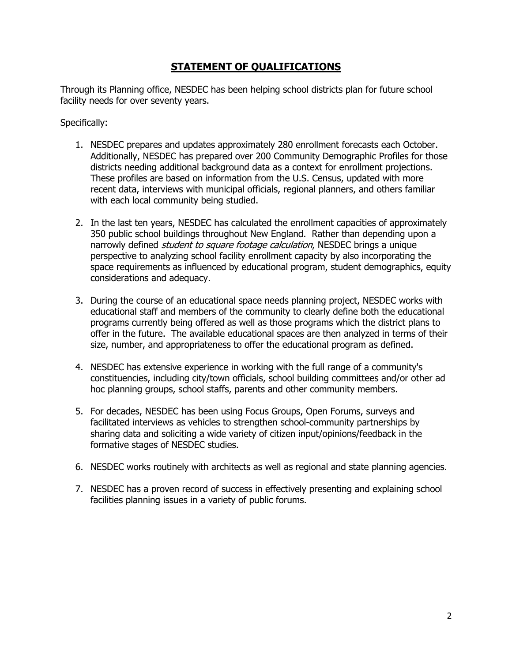# **STATEMENT OF QUALIFICATIONS**

Through its Planning office, NESDEC has been helping school districts plan for future school facility needs for over seventy years.

Specifically:

- 1. NESDEC prepares and updates approximately 280 enrollment forecasts each October. Additionally, NESDEC has prepared over 200 Community Demographic Profiles for those districts needing additional background data as a context for enrollment projections. These profiles are based on information from the U.S. Census, updated with more recent data, interviews with municipal officials, regional planners, and others familiar with each local community being studied.
- 2. In the last ten years, NESDEC has calculated the enrollment capacities of approximately 350 public school buildings throughout New England. Rather than depending upon a narrowly defined *student to square footage calculation*, NESDEC brings a unique perspective to analyzing school facility enrollment capacity by also incorporating the space requirements as influenced by educational program, student demographics, equity considerations and adequacy.
- 3. During the course of an educational space needs planning project, NESDEC works with educational staff and members of the community to clearly define both the educational programs currently being offered as well as those programs which the district plans to offer in the future. The available educational spaces are then analyzed in terms of their size, number, and appropriateness to offer the educational program as defined.
- 4. NESDEC has extensive experience in working with the full range of a community's constituencies, including city/town officials, school building committees and/or other ad hoc planning groups, school staffs, parents and other community members.
- 5. For decades, NESDEC has been using Focus Groups, Open Forums, surveys and facilitated interviews as vehicles to strengthen school-community partnerships by sharing data and soliciting a wide variety of citizen input/opinions/feedback in the formative stages of NESDEC studies.
- 6. NESDEC works routinely with architects as well as regional and state planning agencies.
- 7. NESDEC has a proven record of success in effectively presenting and explaining school facilities planning issues in a variety of public forums.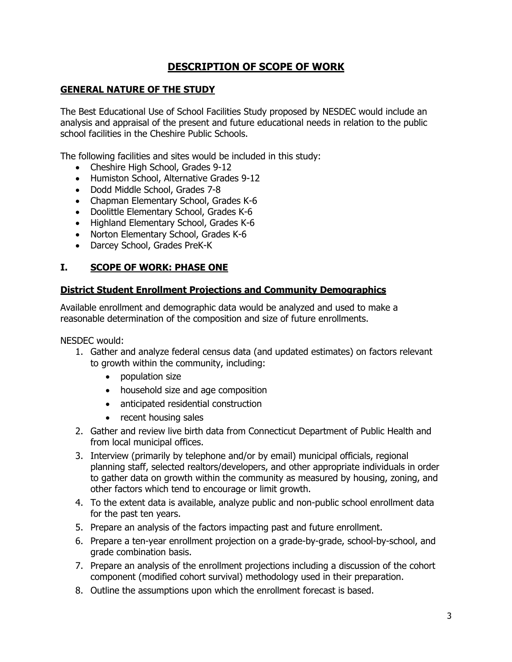# **DESCRIPTION OF SCOPE OF WORK**

# **GENERAL NATURE OF THE STUDY**

The Best Educational Use of School Facilities Study proposed by NESDEC would include an analysis and appraisal of the present and future educational needs in relation to the public school facilities in the Cheshire Public Schools.

The following facilities and sites would be included in this study:

- Cheshire High School, Grades 9-12
- Humiston School, Alternative Grades 9-12
- Dodd Middle School, Grades 7-8
- Chapman Elementary School, Grades K-6
- Doolittle Elementary School, Grades K-6
- Highland Elementary School, Grades K-6
- Norton Elementary School, Grades K-6
- Darcey School, Grades PreK-K

## **I. SCOPE OF WORK: PHASE ONE**

## **District Student Enrollment Projections and Community Demographics**

Available enrollment and demographic data would be analyzed and used to make a reasonable determination of the composition and size of future enrollments.

NESDEC would:

- 1. Gather and analyze federal census data (and updated estimates) on factors relevant to growth within the community, including:
	- population size
	- household size and age composition
	- anticipated residential construction
	- recent housing sales
- 2. Gather and review live birth data from Connecticut Department of Public Health and from local municipal offices.
- 3. Interview (primarily by telephone and/or by email) municipal officials, regional planning staff, selected realtors/developers, and other appropriate individuals in order to gather data on growth within the community as measured by housing, zoning, and other factors which tend to encourage or limit growth.
- 4. To the extent data is available, analyze public and non-public school enrollment data for the past ten years.
- 5. Prepare an analysis of the factors impacting past and future enrollment.
- 6. Prepare a ten-year enrollment projection on a grade-by-grade, school-by-school, and grade combination basis.
- 7. Prepare an analysis of the enrollment projections including a discussion of the cohort component (modified cohort survival) methodology used in their preparation.
- 8. Outline the assumptions upon which the enrollment forecast is based.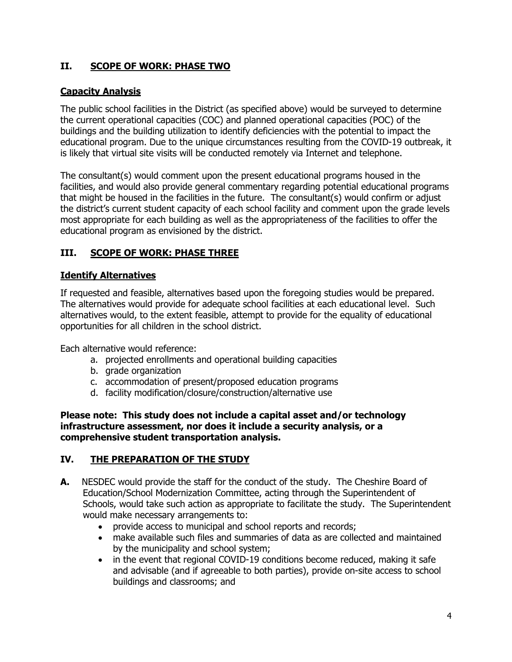# **II. SCOPE OF WORK: PHASE TWO**

## **Capacity Analysis**

The public school facilities in the District (as specified above) would be surveyed to determine the current operational capacities (COC) and planned operational capacities (POC) of the buildings and the building utilization to identify deficiencies with the potential to impact the educational program. Due to the unique circumstances resulting from the COVID-19 outbreak, it is likely that virtual site visits will be conducted remotely via Internet and telephone.

The consultant(s) would comment upon the present educational programs housed in the facilities, and would also provide general commentary regarding potential educational programs that might be housed in the facilities in the future. The consultant(s) would confirm or adjust the district's current student capacity of each school facility and comment upon the grade levels most appropriate for each building as well as the appropriateness of the facilities to offer the educational program as envisioned by the district.

# **III. SCOPE OF WORK: PHASE THREE**

## **Identify Alternatives**

If requested and feasible, alternatives based upon the foregoing studies would be prepared. The alternatives would provide for adequate school facilities at each educational level. Such alternatives would, to the extent feasible, attempt to provide for the equality of educational opportunities for all children in the school district.

Each alternative would reference:

- a. projected enrollments and operational building capacities
- b. grade organization
- c. accommodation of present/proposed education programs
- d. facility modification/closure/construction/alternative use

**Please note: This study does not include a capital asset and/or technology infrastructure assessment, nor does it include a security analysis, or a comprehensive student transportation analysis.** 

## **IV. THE PREPARATION OF THE STUDY**

- **A.** NESDEC would provide the staff for the conduct of the study. The Cheshire Board of Education/School Modernization Committee, acting through the Superintendent of Schools, would take such action as appropriate to facilitate the study. The Superintendent would make necessary arrangements to:
	- provide access to municipal and school reports and records;
	- make available such files and summaries of data as are collected and maintained by the municipality and school system;
	- in the event that regional COVID-19 conditions become reduced, making it safe and advisable (and if agreeable to both parties), provide on-site access to school buildings and classrooms; and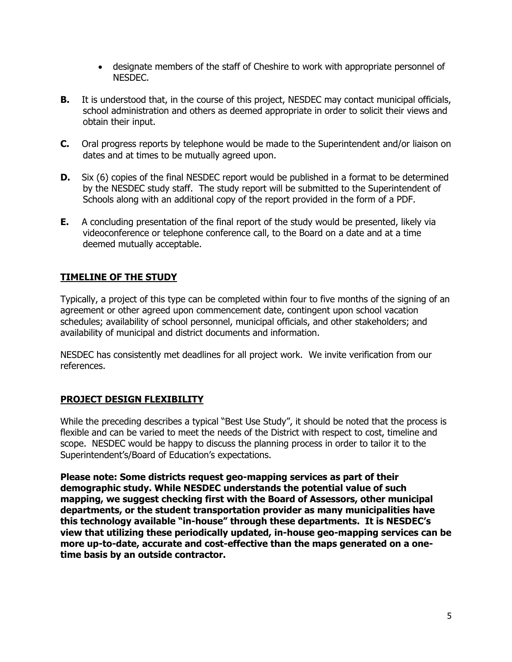- designate members of the staff of Cheshire to work with appropriate personnel of NESDEC.
- **B.** It is understood that, in the course of this project, NESDEC may contact municipal officials, school administration and others as deemed appropriate in order to solicit their views and obtain their input.
- **C.** Oral progress reports by telephone would be made to the Superintendent and/or liaison on dates and at times to be mutually agreed upon.
- **D.** Six (6) copies of the final NESDEC report would be published in a format to be determined by the NESDEC study staff. The study report will be submitted to the Superintendent of Schools along with an additional copy of the report provided in the form of a PDF.
- **E.** A concluding presentation of the final report of the study would be presented, likely via videoconference or telephone conference call, to the Board on a date and at a time deemed mutually acceptable.

# **TIMELINE OF THE STUDY**

Typically, a project of this type can be completed within four to five months of the signing of an agreement or other agreed upon commencement date, contingent upon school vacation schedules; availability of school personnel, municipal officials, and other stakeholders; and availability of municipal and district documents and information.

NESDEC has consistently met deadlines for all project work. We invite verification from our references.

## **PROJECT DESIGN FLEXIBILITY**

While the preceding describes a typical "Best Use Study", it should be noted that the process is flexible and can be varied to meet the needs of the District with respect to cost, timeline and scope. NESDEC would be happy to discuss the planning process in order to tailor it to the Superintendent's/Board of Education's expectations.

**Please note: Some districts request geo-mapping services as part of their demographic study. While NESDEC understands the potential value of such mapping, we suggest checking first with the Board of Assessors, other municipal departments, or the student transportation provider as many municipalities have this technology available "in-house" through these departments. It is NESDEC's view that utilizing these periodically updated, in-house geo-mapping services can be more up-to-date, accurate and cost-effective than the maps generated on a onetime basis by an outside contractor.**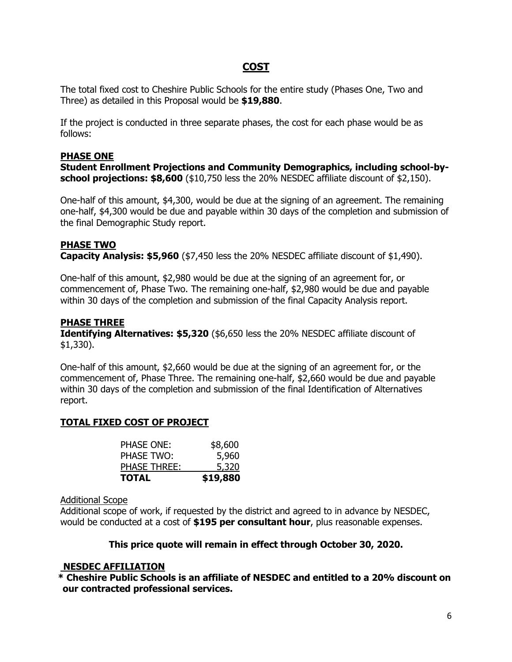# **COST**

The total fixed cost to Cheshire Public Schools for the entire study (Phases One, Two and Three) as detailed in this Proposal would be **\$19,880**.

If the project is conducted in three separate phases, the cost for each phase would be as follows:

## **PHASE ONE**

**Student Enrollment Projections and Community Demographics, including school-byschool projections: \$8,600** (\$10,750 less the 20% NESDEC affiliate discount of \$2,150).

One-half of this amount, \$4,300, would be due at the signing of an agreement. The remaining one-half, \$4,300 would be due and payable within 30 days of the completion and submission of the final Demographic Study report.

## **PHASE TWO**

**Capacity Analysis: \$5,960** (\$7,450 less the 20% NESDEC affiliate discount of \$1,490).

One-half of this amount, \$2,980 would be due at the signing of an agreement for, or commencement of, Phase Two. The remaining one-half, \$2,980 would be due and payable within 30 days of the completion and submission of the final Capacity Analysis report.

## **PHASE THREE**

**Identifying Alternatives: \$5,320** (\$6,650 less the 20% NESDEC affiliate discount of \$1,330).

One-half of this amount, \$2,660 would be due at the signing of an agreement for, or the commencement of, Phase Three. The remaining one-half, \$2,660 would be due and payable within 30 days of the completion and submission of the final Identification of Alternatives report.

## **TOTAL FIXED COST OF PROJECT**

| <b>TOTAL</b>        | \$19,880 |
|---------------------|----------|
| <b>PHASE THREE:</b> | 5,320    |
| <b>PHASE TWO:</b>   | 5,960    |
| PHASE ONE:          | \$8,600  |

#### Additional Scope

Additional scope of work, if requested by the district and agreed to in advance by NESDEC, would be conducted at a cost of **\$195 per consultant hour**, plus reasonable expenses.

## **This price quote will remain in effect through October 30, 2020.**

## **NESDEC AFFILIATION**

**\* Cheshire Public Schools is an affiliate of NESDEC and entitled to a 20% discount on our contracted professional services.**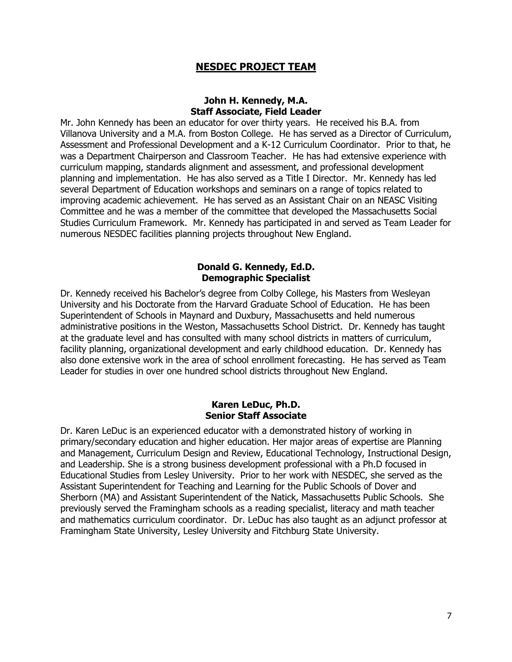## **NESDEC PROJECT TEAM**

#### **John H. Kennedy, M.A. Staff Associate, Field Leader**

Mr. John Kennedy has been an educator for over thirty years. He received his B.A. from Villanova University and a M.A. from Boston College. He has served as a Director of Curriculum, Assessment and Professional Development and a K-12 Curriculum Coordinator. Prior to that, he was a Department Chairperson and Classroom Teacher. He has had extensive experience with curriculum mapping, standards alignment and assessment, and professional development planning and implementation. He has also served as a Title I Director. Mr. Kennedy has led several Department of Education workshops and seminars on a range of topics related to improving academic achievement. He has served as an Assistant Chair on an NEASC Visiting Committee and he was a member of the committee that developed the Massachusetts Social Studies Curriculum Framework. Mr. Kennedy has participated in and served as Team Leader for numerous NESDEC facilities planning projects throughout New England.

#### **Donald G. Kennedy, Ed.D. Demographic Specialist**

Dr. Kennedy received his Bachelor's degree from Colby College, his Masters from Wesleyan University and his Doctorate from the Harvard Graduate School of Education. He has been Superintendent of Schools in Maynard and Duxbury, Massachusetts and held numerous administrative positions in the Weston, Massachusetts School District. Dr. Kennedy has taught at the graduate level and has consulted with many school districts in matters of curriculum, facility planning, organizational development and early childhood education. Dr. Kennedy has also done extensive work in the area of school enrollment forecasting. He has served as Team Leader for studies in over one hundred school districts throughout New England.

#### **Karen LeDuc, Ph.D. Senior Staff Associate**

Dr. Karen LeDuc is an experienced educator with a demonstrated history of working in primary/secondary education and higher education. Her major areas of expertise are Planning and Management, Curriculum Design and Review, Educational Technology, Instructional Design, and Leadership. She is a strong business development professional with a Ph.D focused in Educational Studies from Lesley University. Prior to her work with NESDEC, she served as the Assistant Superintendent for Teaching and Learning for the Public Schools of Dover and Sherborn (MA) and Assistant Superintendent of the Natick, Massachusetts Public Schools. She previously served the Framingham schools as a reading specialist, literacy and math teacher and mathematics curriculum coordinator. Dr. LeDuc has also taught as an adjunct professor at Framingham State University, Lesley University and Fitchburg State University.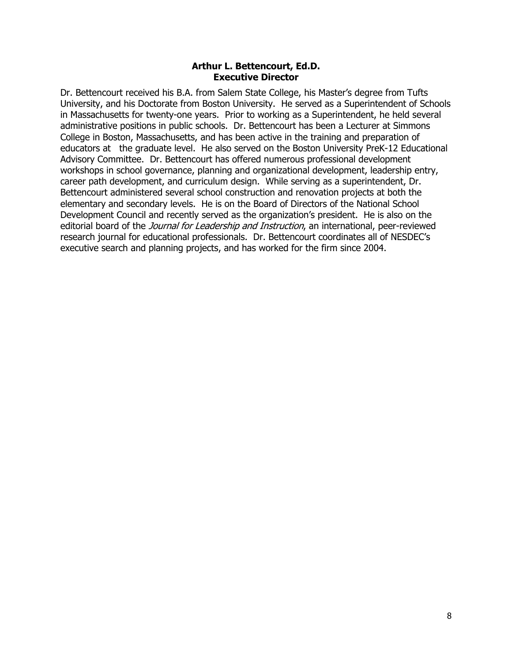#### **Arthur L. Bettencourt, Ed.D. Executive Director**

Dr. Bettencourt received his B.A. from Salem State College, his Master's degree from Tufts University, and his Doctorate from Boston University. He served as a Superintendent of Schools in Massachusetts for twenty-one years. Prior to working as a Superintendent, he held several administrative positions in public schools. Dr. Bettencourt has been a Lecturer at Simmons College in Boston, Massachusetts, and has been active in the training and preparation of educators at the graduate level. He also served on the Boston University PreK-12 Educational Advisory Committee. Dr. Bettencourt has offered numerous professional development workshops in school governance, planning and organizational development, leadership entry, career path development, and curriculum design. While serving as a superintendent, Dr. Bettencourt administered several school construction and renovation projects at both the elementary and secondary levels. He is on the Board of Directors of the National School Development Council and recently served as the organization's president. He is also on the editorial board of the *Journal for Leadership and Instruction*, an international, peer-reviewed research journal for educational professionals. Dr. Bettencourt coordinates all of NESDEC's executive search and planning projects, and has worked for the firm since 2004.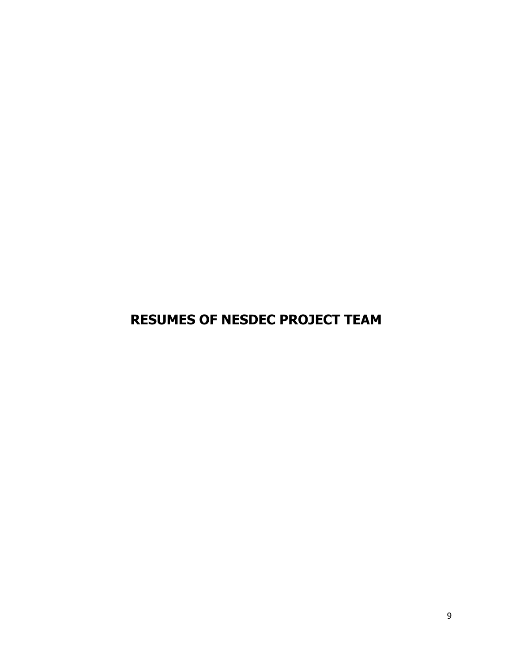**RESUMES OF NESDEC PROJECT TEAM**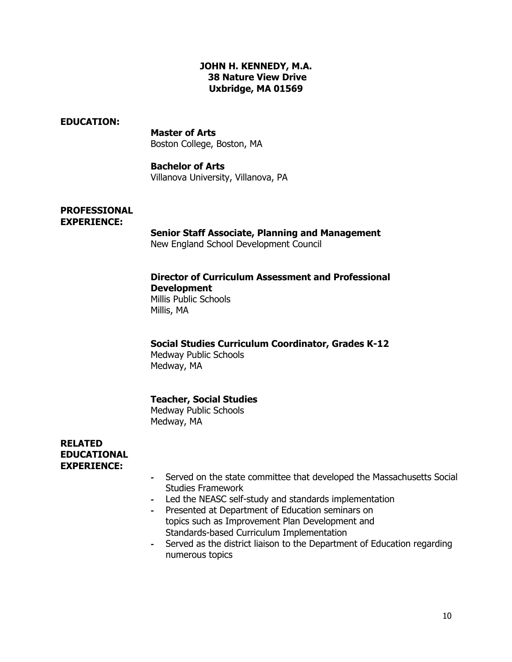## **JOHN H. KENNEDY, M.A. 38 Nature View Drive Uxbridge, MA 01569**

#### **EDUCATION:**

**Master of Arts** Boston College, Boston, MA

#### **Bachelor of Arts**

Villanova University, Villanova, PA

#### **PROFESSIONAL EXPERIENCE:**

## **Senior Staff Associate, Planning and Management**

New England School Development Council

# **Director of Curriculum Assessment and Professional**

**Development** Millis Public Schools Millis, MA

## **Social Studies Curriculum Coordinator, Grades K-12**

Medway Public Schools Medway, MA

## **Teacher, Social Studies**

Medway Public Schools Medway, MA

#### **RELATED EDUCATIONAL EXPERIENCE:**

- **-** Served on the state committee that developed the Massachusetts Social Studies Framework
- **-** Led the NEASC self-study and standards implementation
- **-** Presented at Department of Education seminars on topics such as Improvement Plan Development and Standards-based Curriculum Implementation
- **-** Served as the district liaison to the Department of Education regarding numerous topics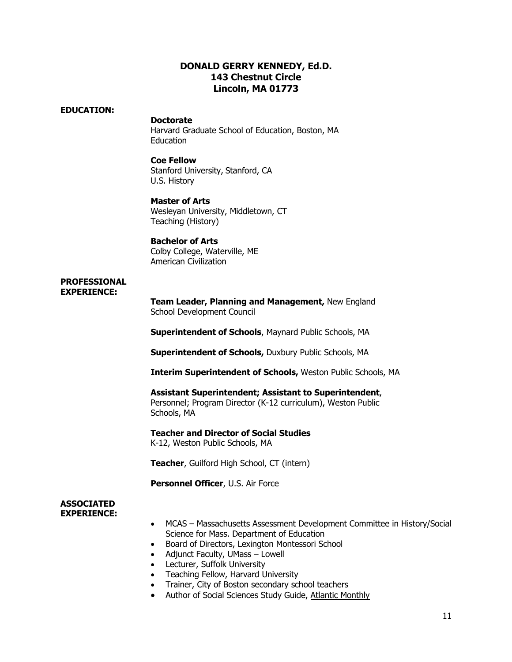## **DONALD GERRY KENNEDY, Ed.D. 143 Chestnut Circle Lincoln, MA 01773**

#### **EDUCATION:**

#### **Doctorate**

Harvard Graduate School of Education, Boston, MA Education

#### **Coe Fellow**

Stanford University, Stanford, CA U.S. History

#### **Master of Arts**

Wesleyan University, Middletown, CT Teaching (History)

#### **Bachelor of Arts**

Colby College, Waterville, ME American Civilization

#### **PROFESSIONAL EXPERIENCE:**

**Team Leader, Planning and Management,** New England School Development Council

**Superintendent of Schools**, Maynard Public Schools, MA

**Superintendent of Schools,** Duxbury Public Schools, MA

**Interim Superintendent of Schools,** Weston Public Schools, MA

#### **Assistant Superintendent; Assistant to Superintendent**,

Personnel; Program Director (K-12 curriculum), Weston Public Schools, MA

**Teacher and Director of Social Studies** K-12, Weston Public Schools, MA

**Teacher**, Guilford High School, CT (intern)

**Personnel Officer**, U.S. Air Force

#### **ASSOCIATED EXPERIENCE:**

- MCAS Massachusetts Assessment Development Committee in History/Social Science for Mass. Department of Education
- Board of Directors, Lexington Montessori School
- Adjunct Faculty, UMass Lowell
- Lecturer, Suffolk University
- Teaching Fellow, Harvard University
- Trainer, City of Boston secondary school teachers
- Author of Social Sciences Study Guide, Atlantic Monthly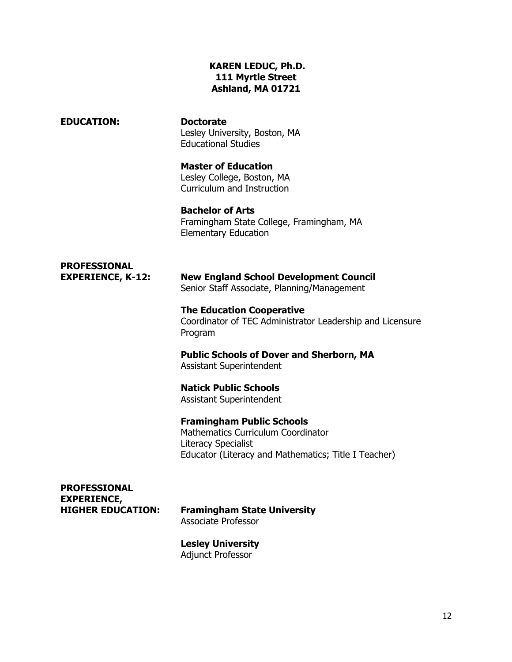## **KAREN LEDUC, Ph.D. 111 Myrtle Street Ashland, MA 01721**

**EDUCATION: Doctorate** Lesley University, Boston, MA Educational Studies

> **Master of Education** Lesley College, Boston, MA Curriculum and Instruction

**Bachelor of Arts**  Framingham State College, Framingham, MA Elementary Education

# **PROFESSIONAL**

**EXPERIENCE, K-12: New England School Development Council** Senior Staff Associate, Planning/Management

> **The Education Cooperative** Coordinator of TEC Administrator Leadership and Licensure Program

**Public Schools of Dover and Sherborn, MA** Assistant Superintendent

**Natick Public Schools** Assistant Superintendent

**Framingham Public Schools** Mathematics Curriculum Coordinator Literacy Specialist Educator (Literacy and Mathematics; Title I Teacher)

**PROFESSIONAL EXPERIENCE,**

**HIGHER EDUCATION: Framingham State University** Associate Professor

> **Lesley University** Adjunct Professor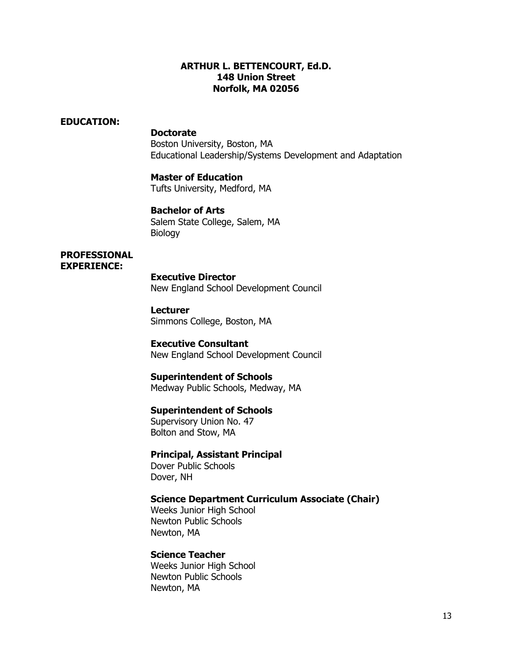#### **ARTHUR L. BETTENCOURT, Ed.D. 148 Union Street Norfolk, MA 02056**

#### **EDUCATION:**

#### **Doctorate**

Boston University, Boston, MA Educational Leadership/Systems Development and Adaptation

#### **Master of Education**

Tufts University, Medford, MA

#### **Bachelor of Arts**

Salem State College, Salem, MA Biology

#### **PROFESSIONAL EXPERIENCE:**

**Executive Director** New England School Development Council

# **Lecturer**

Simmons College, Boston, MA

#### **Executive Consultant**

New England School Development Council

#### **Superintendent of Schools**

Medway Public Schools, Medway, MA

#### **Superintendent of Schools**

Supervisory Union No. 47 Bolton and Stow, MA

#### **Principal, Assistant Principal**

Dover Public Schools Dover, NH

#### **Science Department Curriculum Associate (Chair)**

Weeks Junior High School Newton Public Schools Newton, MA

#### **Science Teacher**

Weeks Junior High School Newton Public Schools Newton, MA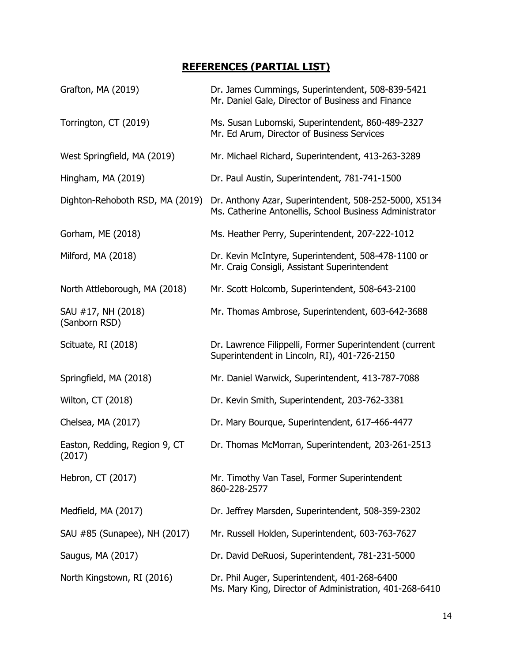# **REFERENCES (PARTIAL LIST)**

| Grafton, MA (2019)                      | Dr. James Cummings, Superintendent, 508-839-5421<br>Mr. Daniel Gale, Director of Business and Finance            |
|-----------------------------------------|------------------------------------------------------------------------------------------------------------------|
| Torrington, CT (2019)                   | Ms. Susan Lubomski, Superintendent, 860-489-2327<br>Mr. Ed Arum, Director of Business Services                   |
| West Springfield, MA (2019)             | Mr. Michael Richard, Superintendent, 413-263-3289                                                                |
| Hingham, MA (2019)                      | Dr. Paul Austin, Superintendent, 781-741-1500                                                                    |
| Dighton-Rehoboth RSD, MA (2019)         | Dr. Anthony Azar, Superintendent, 508-252-5000, X5134<br>Ms. Catherine Antonellis, School Business Administrator |
| Gorham, ME (2018)                       | Ms. Heather Perry, Superintendent, 207-222-1012                                                                  |
| Milford, MA (2018)                      | Dr. Kevin McIntyre, Superintendent, 508-478-1100 or<br>Mr. Craig Consigli, Assistant Superintendent              |
| North Attleborough, MA (2018)           | Mr. Scott Holcomb, Superintendent, 508-643-2100                                                                  |
| SAU #17, NH (2018)<br>(Sanborn RSD)     | Mr. Thomas Ambrose, Superintendent, 603-642-3688                                                                 |
| Scituate, RI (2018)                     | Dr. Lawrence Filippelli, Former Superintendent (current<br>Superintendent in Lincoln, RI), 401-726-2150          |
| Springfield, MA (2018)                  | Mr. Daniel Warwick, Superintendent, 413-787-7088                                                                 |
| Wilton, CT (2018)                       | Dr. Kevin Smith, Superintendent, 203-762-3381                                                                    |
| Chelsea, MA (2017)                      | Dr. Mary Bourque, Superintendent, 617-466-4477                                                                   |
| Easton, Redding, Region 9, CT<br>(2017) | Dr. Thomas McMorran, Superintendent, 203-261-2513                                                                |
| Hebron, CT (2017)                       | Mr. Timothy Van Tasel, Former Superintendent<br>860-228-2577                                                     |
| Medfield, MA (2017)                     | Dr. Jeffrey Marsden, Superintendent, 508-359-2302                                                                |
| SAU #85 (Sunapee), NH (2017)            | Mr. Russell Holden, Superintendent, 603-763-7627                                                                 |
| Saugus, MA (2017)                       | Dr. David DeRuosi, Superintendent, 781-231-5000                                                                  |
| North Kingstown, RI (2016)              | Dr. Phil Auger, Superintendent, 401-268-6400<br>Ms. Mary King, Director of Administration, 401-268-6410          |